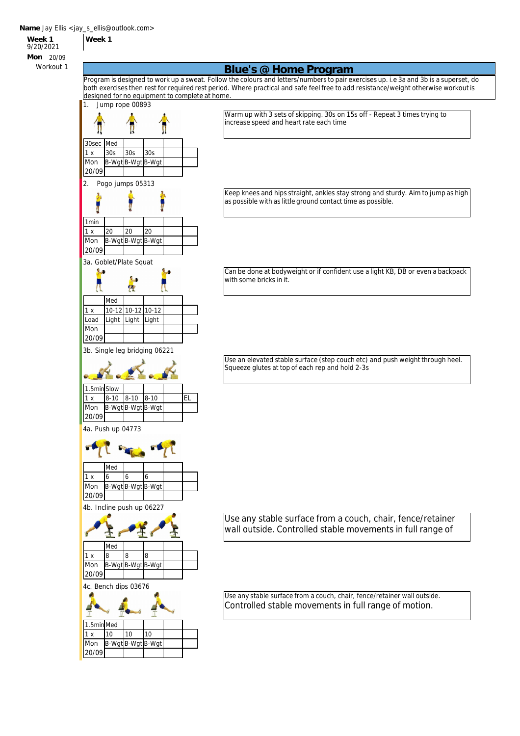**Week 1**

**Week 1** 9/20/2021 **Mon** 20/09

## Workout 1 **Blue's @ Home Program**

Program is designed to work up a sweat. Follow the colours and letters/numbers to pair exercises up. i.e 3a and 3b is a superset, do both exercises then rest for required rest period. Where practical and safe feel free to add resistance/weight otherwise workout is designed for no equipment to complete at home.



Keep knees and hips straight, ankles stay strong and sturdy. Aim to jump as high

as possible with as little ground contact time as possible.

Can be done at bodyweight or if confident use a light KB, DB or even a backpack with some bricks in it.

Use an elevated stable surface (step couch etc) and push weight through heel. Squeeze glutes at top of each rep and hold 2-3s

Use any stable surface from a couch, chair, fence/retainer wall outside. Controlled stable movements in full range of

Use any stable surface from a couch, chair, fence/retainer wall outside. Controlled stable movements in full range of motion.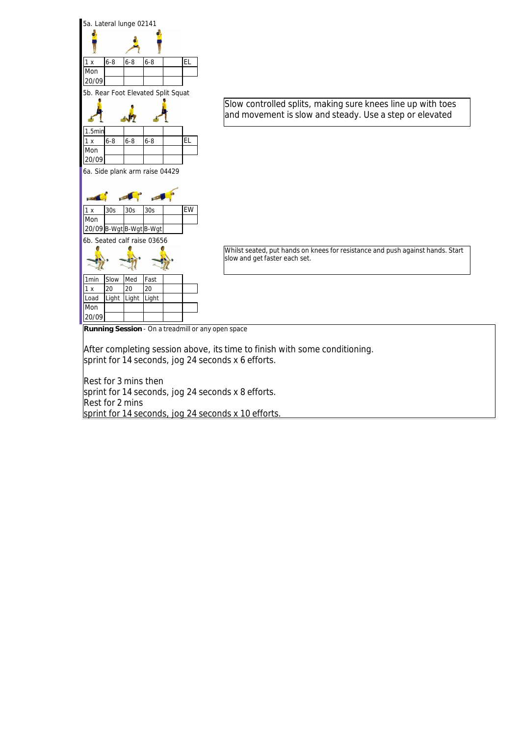

Rest for 3 mins then sprint for 14 seconds, jog 24 seconds x 8 efforts. Rest for 2 mins sprint for 14 seconds, jog 24 seconds x 10 efforts.